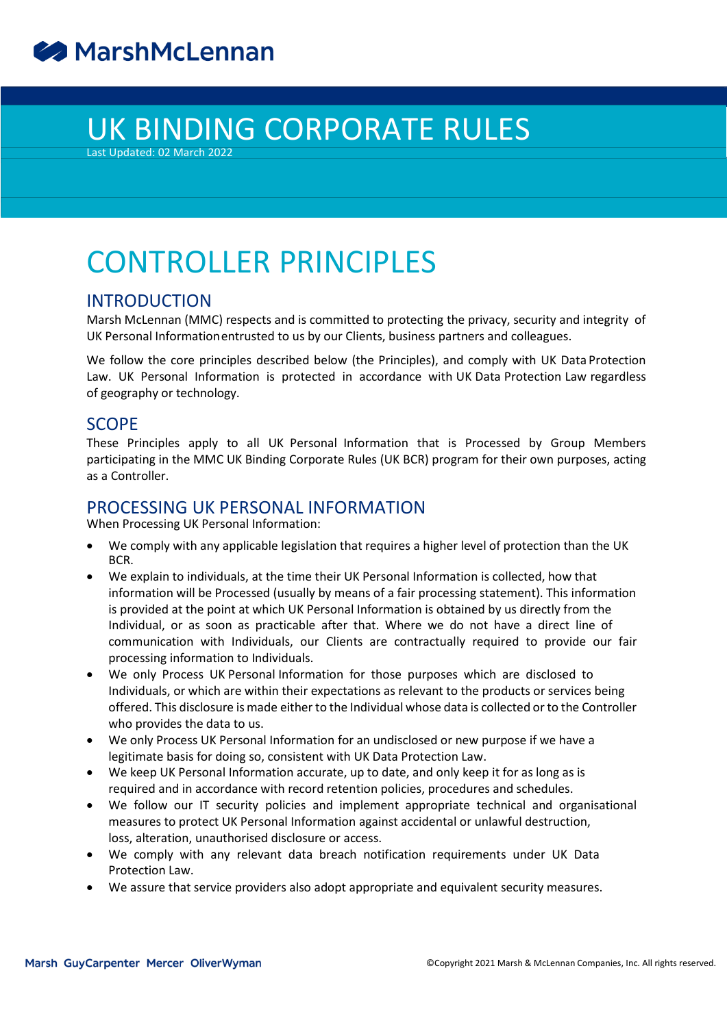# UK BINDING CORPORATE RULES

Last Updated: 02 March 2022

# CONTROLLER PRINCIPLES

### INTRODUCTION

Marsh McLennan (MMC) respects and is committed to protecting the privacy, security and integrity of UK Personal Informationentrusted to us by our Clients, business partners and colleagues.

We follow the core principles described below (the Principles), and comply with UK Data Protection Law. UK Personal Information is protected in accordance with UK Data Protection Law regardless of geography or technology.

### SCOPE

These Principles apply to all UK Personal Information that is Processed by Group Members participating in the MMC UK Binding Corporate Rules (UK BCR) program for their own purposes, acting as a Controller.

# PROCESSING UK PERSONAL INFORMATION

When Processing UK Personal Information:

- We comply with any applicable legislation that requires a higher level of protection than the UK BCR.
- We explain to individuals, at the time their UK Personal Information is collected, how that information will be Processed (usually by means of a fair processing statement). This information is provided at the point at which UK Personal Information is obtained by us directly from the Individual, or as soon as practicable after that. Where we do not have a direct line of communication with Individuals, our Clients are contractually required to provide our fair processing information to Individuals.
- We only Process UK Personal Information for those purposes which are disclosed to Individuals, or which are within their expectations as relevant to the products or services being offered. This disclosure ismade either to the Individual whose data is collected orto the Controller who provides the data to us.
- We only Process UK Personal Information for an undisclosed or new purpose if we have a legitimate basis for doing so, consistent with UK Data Protection Law.
- We keep UK Personal Information accurate, up to date, and only keep it for as long as is required and in accordance with record retention policies, procedures and schedules.
- We follow our IT security policies and implement appropriate technical and organisational measures to protect UK Personal Information against accidental or unlawful destruction, loss, alteration, unauthorised disclosure or access.
- We comply with any relevant data breach notification requirements under UK Data Protection Law.
- We assure that service providers also adopt appropriate and equivalent security measures.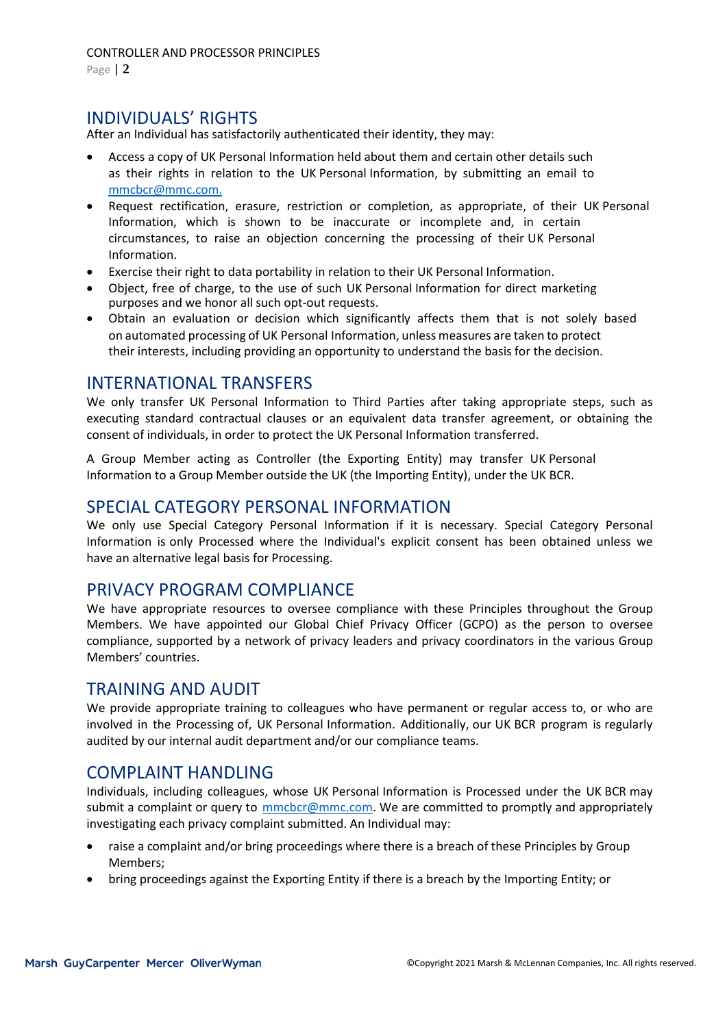Page | **2**

# INDIVIDUALS' RIGHTS

After an Individual has satisfactorily authenticated their identity, they may:

- Access a copy of UK Personal Information held about them and certain other details such as their rights in relation to the UK Personal Information, by submitting an email to [mmcbcr@mmc.com.](mailto:mmcbcr@mmc.com.)
- Request rectification, erasure, restriction or completion, as appropriate, of their UK Personal Information, which is shown to be inaccurate or incomplete and, in certain circumstances, to raise an objection concerning the processing of their UK Personal Information.
- Exercise their right to data portability in relation to their UK Personal Information.
- Object, free of charge, to the use of such UK Personal Information for direct marketing purposes and we honor all such opt-out requests.
- Obtain an evaluation or decision which significantly affects them that is not solely based on automated processing of UK Personal Information, unless measures are taken to protect their interests, including providing an opportunity to understand the basis for the decision.

### INTERNATIONAL TRANSFERS

We only transfer UK Personal Information to Third Parties after taking appropriate steps, such as executing standard contractual clauses or an equivalent data transfer agreement, or obtaining the consent of individuals, in order to protect the UK Personal Information transferred.

A Group Member acting as Controller (the Exporting Entity) may transfer UK Personal Information to a Group Member outside the UK (the Importing Entity), under the UK BCR.

## SPECIAL CATEGORY PERSONAL INFORMATION

We only use Special Category Personal Information if it is necessary. Special Category Personal Information is only Processed where the Individual's explicit consent has been obtained unless we have an alternative legal basis for Processing.

### PRIVACY PROGRAM COMPLIANCE

We have appropriate resources to oversee compliance with these Principles throughout the Group Members. We have appointed our Global Chief Privacy Officer (GCPO) as the person to oversee compliance, supported by a network of privacy leaders and privacy coordinators in the various Group Members' countries.

### TRAINING AND AUDIT

We provide appropriate training to colleagues who have permanent or regular access to, or who are involved in the Processing of, UK Personal Information. Additionally, our UK BCR program is regularly audited by our internal audit department and/or our compliance teams.

### COMPLAINT HANDLING

Individuals, including colleagues, whose UK Personal Information is Processed under the UK BCR may submit a complaint or query to **mmcbcr@mmc.com**. We are committed to promptly and appropriately investigating each privacy complaint submitted. An Individual may:

- raise a complaint and/or bring proceedings where there is a breach of these Principles by Group Members;
- bring proceedings against the Exporting Entity if there is a breach by the Importing Entity; or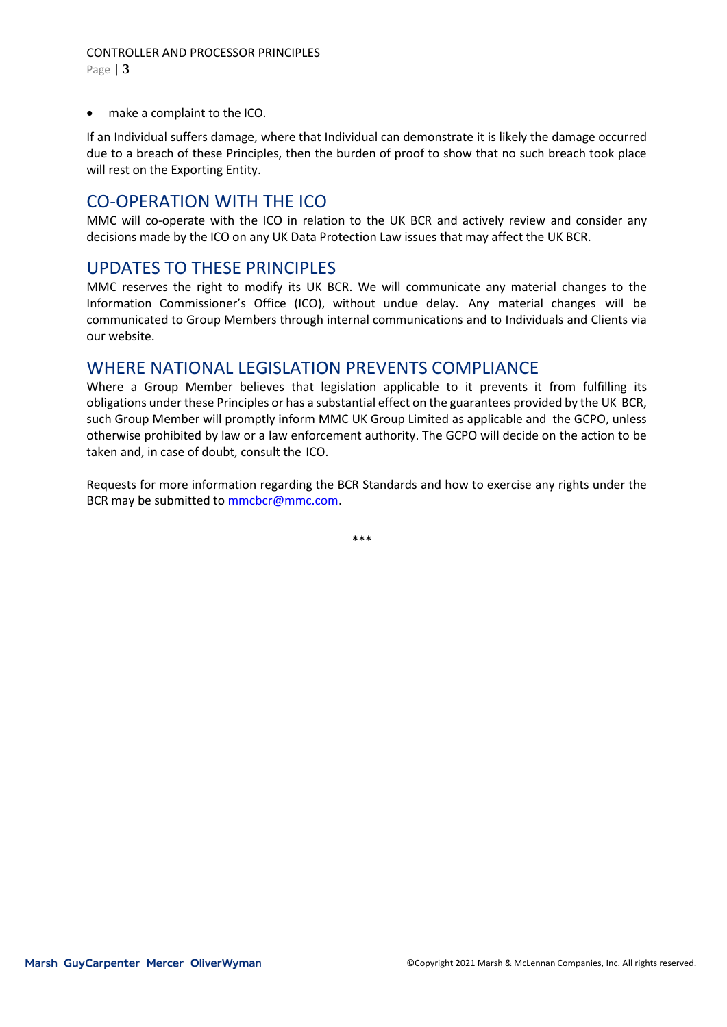make a complaint to the ICO.

If an Individual suffers damage, where that Individual can demonstrate it is likely the damage occurred due to a breach of these Principles, then the burden of proof to show that no such breach took place will rest on the Exporting Entity.

# CO-OPERATION WITH THE ICO

MMC will co-operate with the ICO in relation to the UK BCR and actively review and consider any decisions made by the ICO on any UK Data Protection Law issues that may affect the UK BCR.

#### UPDATES TO THESE PRINCIPLES

MMC reserves the right to modify its UK BCR. We will communicate any material changes to the Information Commissioner's Office (ICO), without undue delay. Any material changes will be communicated to Group Members through internal communications and to Individuals and Clients via our website.

#### WHERE NATIONAL LEGISLATION PREVENTS COMPLIANCE

Where a Group Member believes that legislation applicable to it prevents it from fulfilling its obligations under these Principles or has a substantial effect on the guarantees provided by the UK BCR, such Group Member will promptly inform MMC UK Group Limited as applicable and the GCPO, unless otherwise prohibited by law or a law enforcement authority. The GCPO will decide on the action to be taken and, in case of doubt, consult the ICO.

Requests for more information regarding the BCR Standards and how to exercise any rights under the BCR may be submitted to [mmcbcr@mmc.com.](mailto:mmcbcr@mmc.com)

\*\*\*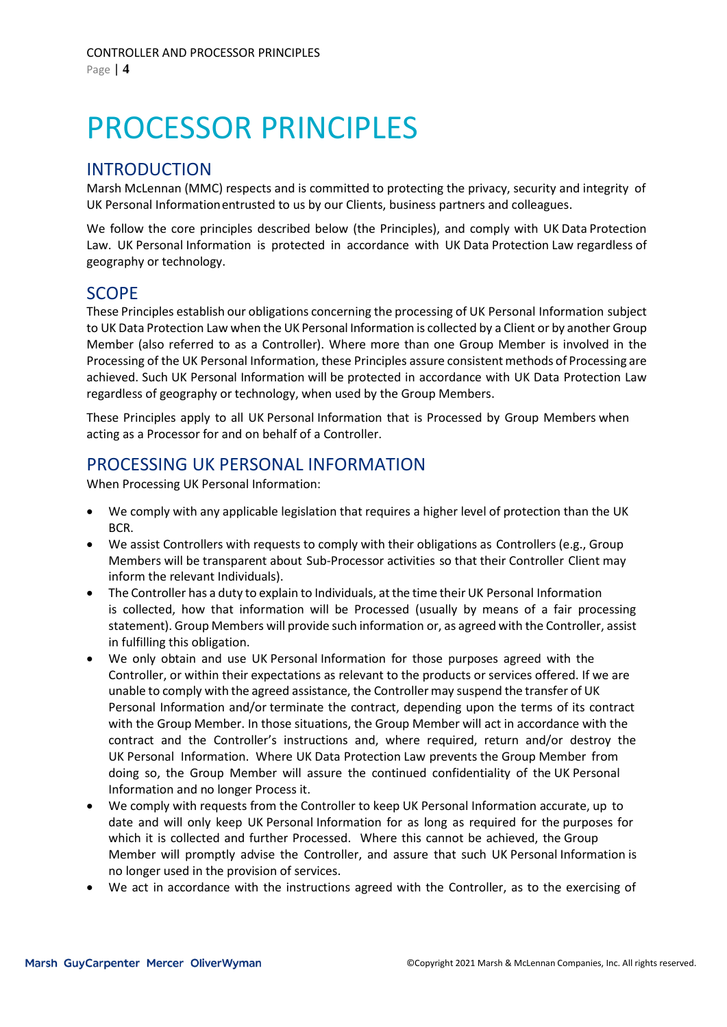# PROCESSOR PRINCIPLES

### INTRODUCTION

Marsh McLennan (MMC) respects and is committed to protecting the privacy, security and integrity of UK Personal Informationentrusted to us by our Clients, business partners and colleagues.

We follow the core principles described below (the Principles), and comply with UK Data Protection Law. UK Personal Information is protected in accordance with UK Data Protection Law regardless of geography or technology.

### SCOPE

These Principles establish our obligations concerning the processing of UK Personal Information subject to UK Data Protection Law when the UK Personal Information is collected by a Client or by another Group Member (also referred to as a Controller). Where more than one Group Member is involved in the Processing of the UK Personal Information, these Principles assure consistent methods of Processing are achieved. Such UK Personal Information will be protected in accordance with UK Data Protection Law regardless of geography or technology, when used by the Group Members.

These Principles apply to all UK Personal Information that is Processed by Group Members when acting as a Processor for and on behalf of a Controller.

# PROCESSING UK PERSONAL INFORMATION

When Processing UK Personal Information:

- We comply with any applicable legislation that requires a higher level of protection than the UK BCR.
- We assist Controllers with requests to comply with their obligations as Controllers (e.g., Group Members will be transparent about Sub-Processor activities so that their Controller Client may inform the relevant Individuals).
- The Controller has a duty to explain to Individuals, atthe time their UK Personal Information is collected, how that information will be Processed (usually by means of a fair processing statement). Group Members will provide such information or, as agreed with the Controller, assist in fulfilling this obligation.
- We only obtain and use UK Personal Information for those purposes agreed with the Controller, or within their expectations as relevant to the products or services offered. If we are unable to comply with the agreed assistance, the Controller may suspend the transfer of UK Personal Information and/or terminate the contract, depending upon the terms of its contract with the Group Member. In those situations, the Group Member will act in accordance with the contract and the Controller's instructions and, where required, return and/or destroy the UK Personal Information. Where UK Data Protection Law prevents the Group Member from doing so, the Group Member will assure the continued confidentiality of the UK Personal Information and no longer Process it.
- We comply with requests from the Controller to keep UK Personal Information accurate, up to date and will only keep UK Personal Information for as long as required for the purposes for which it is collected and further Processed. Where this cannot be achieved, the Group Member will promptly advise the Controller, and assure that such UK Personal Information is no longer used in the provision of services.
- We act in accordance with the instructions agreed with the Controller, as to the exercising of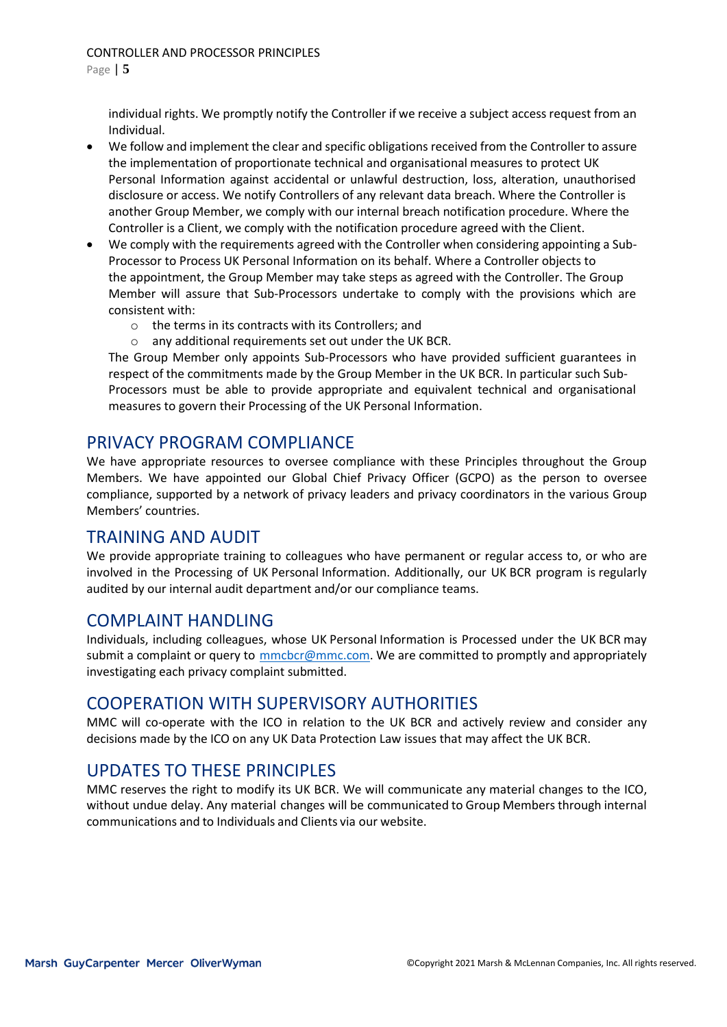individual rights. We promptly notify the Controller if we receive a subject access request from an Individual.

- We follow and implement the clear and specific obligations received from the Controller to assure the implementation of proportionate technical and organisational measures to protect UK Personal Information against accidental or unlawful destruction, loss, alteration, unauthorised disclosure or access. We notify Controllers of any relevant data breach. Where the Controller is another Group Member, we comply with our internal breach notification procedure. Where the Controller is a Client, we comply with the notification procedure agreed with the Client.
- We comply with the requirements agreed with the Controller when considering appointing a Sub-Processor to Process UK Personal Information on its behalf. Where a Controller objects to the appointment, the Group Member may take steps as agreed with the Controller. The Group Member will assure that Sub-Processors undertake to comply with the provisions which are consistent with:
	- o the terms in its contracts with its Controllers; and
	- o any additional requirements set out under the UK BCR.

The Group Member only appoints Sub-Processors who have provided sufficient guarantees in respect of the commitments made by the Group Member in the UK BCR. In particular such Sub-Processors must be able to provide appropriate and equivalent technical and organisational measures to govern their Processing of the UK Personal Information.

# PRIVACY PROGRAM COMPLIANCE

We have appropriate resources to oversee compliance with these Principles throughout the Group Members. We have appointed our Global Chief Privacy Officer (GCPO) as the person to oversee compliance, supported by a network of privacy leaders and privacy coordinators in the various Group Members' countries.

### TRAINING AND AUDIT

We provide appropriate training to colleagues who have permanent or regular access to, or who are involved in the Processing of UK Personal Information. Additionally, our UK BCR program is regularly audited by our internal audit department and/or our compliance teams.

### COMPLAINT HANDLING

Individuals, including colleagues, whose UK Personal Information is Processed under the UK BCR may submit a complaint or query to [mmcbcr@mmc.com.](mailto:mmcbcr@mmc.com) We are committed to promptly and appropriately investigating each privacy complaint submitted.

### COOPERATION WITH SUPERVISORY AUTHORITIES

MMC will co-operate with the ICO in relation to the UK BCR and actively review and consider any decisions made by the ICO on any UK Data Protection Law issues that may affect the UK BCR.

# UPDATES TO THESE PRINCIPLES

MMC reserves the right to modify its UK BCR. We will communicate any material changes to the ICO, without undue delay. Any material changes will be communicated to Group Members through internal communications and to Individuals and Clients via our website.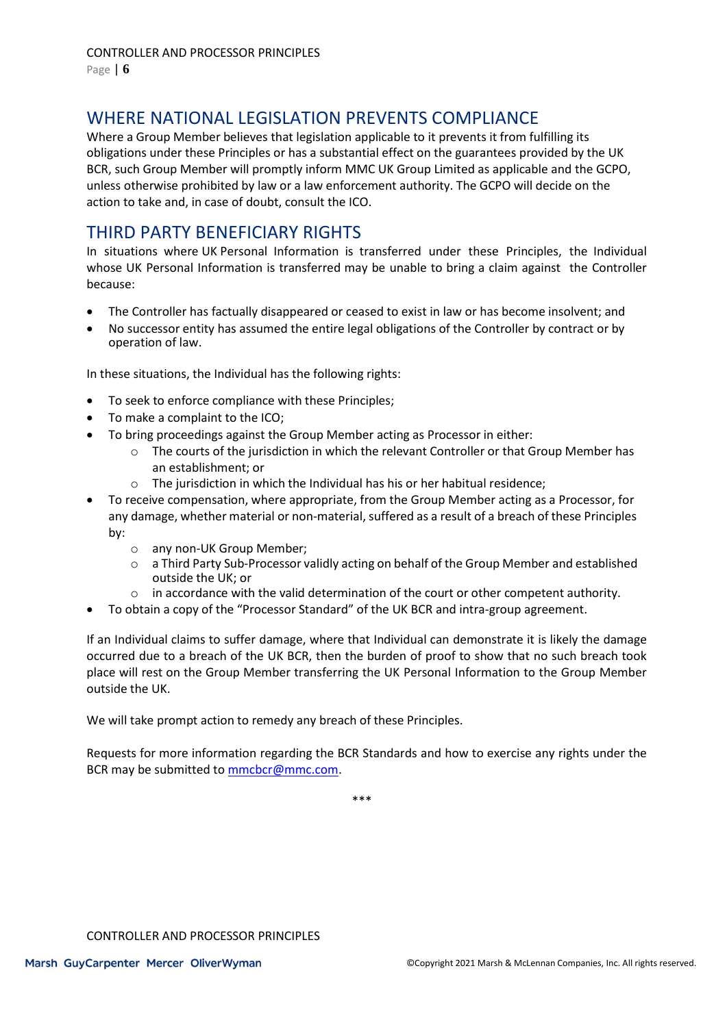# WHERE NATIONAL LEGISLATION PREVENTS COMPLIANCE

Where a Group Member believes that legislation applicable to it prevents it from fulfilling its obligations under these Principles or has a substantial effect on the guarantees provided by the UK BCR, such Group Member will promptly inform MMC UK Group Limited as applicable and the GCPO, unless otherwise prohibited by law or a law enforcement authority. The GCPO will decide on the action to take and, in case of doubt, consult the ICO.

# THIRD PARTY BENEFICIARY RIGHTS

In situations where UK Personal Information is transferred under these Principles, the Individual whose UK Personal Information is transferred may be unable to bring a claim against the Controller because:

- The Controller has factually disappeared or ceased to exist in law or has become insolvent; and
- No successor entity has assumed the entire legal obligations of the Controller by contract or by operation of law.

In these situations, the Individual has the following rights:

- To seek to enforce compliance with these Principles;
- To make a complaint to the ICO;
- To bring proceedings against the Group Member acting as Processor in either:
	- $\circ$  The courts of the jurisdiction in which the relevant Controller or that Group Member has an establishment; or
	- o The jurisdiction in which the Individual has his or her habitual residence;
- To receive compensation, where appropriate, from the Group Member acting as a Processor, for any damage, whether material or non-material, suffered as a result of a breach of these Principles by:
	- o any non-UK Group Member;
	- o a Third Party Sub-Processor validly acting on behalf of the Group Member and established outside the UK; or
	- $\circ$  in accordance with the valid determination of the court or other competent authority.
- To obtain a copy of the "Processor Standard" of the UK BCR and intra-group agreement.

If an Individual claims to suffer damage, where that Individual can demonstrate it is likely the damage occurred due to a breach of the UK BCR, then the burden of proof to show that no such breach took place will rest on the Group Member transferring the UK Personal Information to the Group Member outside the UK.

We will take prompt action to remedy any breach of these Principles.

Requests for more information regarding the BCR Standards and how to exercise any rights under the BCR may be submitted to [mmcbcr@mmc.com.](mailto:mmcbcr@mmc.com)

\*\*\*